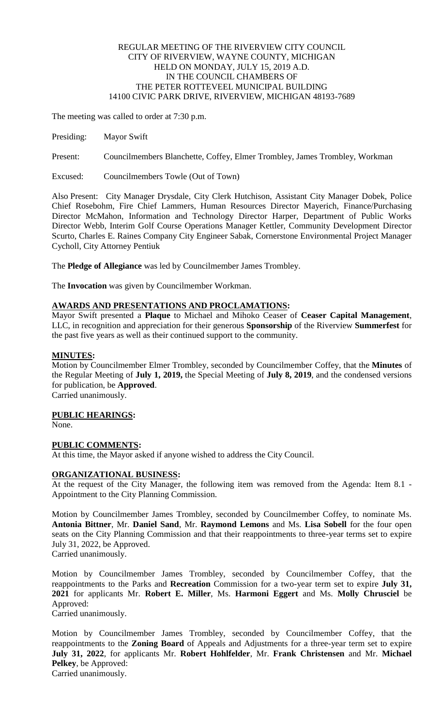# REGULAR MEETING OF THE RIVERVIEW CITY COUNCIL CITY OF RIVERVIEW, WAYNE COUNTY, MICHIGAN HELD ON MONDAY, JULY 15, 2019 A.D. IN THE COUNCIL CHAMBERS OF THE PETER ROTTEVEEL MUNICIPAL BUILDING 14100 CIVIC PARK DRIVE, RIVERVIEW, MICHIGAN 48193-7689

The meeting was called to order at 7:30 p.m.

Presiding: Mayor Swift

Present: Councilmembers Blanchette, Coffey, Elmer Trombley, James Trombley, Workman

Excused: Councilmembers Towle (Out of Town)

Also Present: City Manager Drysdale, City Clerk Hutchison, Assistant City Manager Dobek, Police Chief Rosebohm, Fire Chief Lammers, Human Resources Director Mayerich, Finance/Purchasing Director McMahon, Information and Technology Director Harper, Department of Public Works Director Webb, Interim Golf Course Operations Manager Kettler, Community Development Director Scurto, Charles E. Raines Company City Engineer Sabak, Cornerstone Environmental Project Manager Cycholl, City Attorney Pentiuk

The **Pledge of Allegiance** was led by Councilmember James Trombley.

The **Invocation** was given by Councilmember Workman.

# **AWARDS AND PRESENTATIONS AND PROCLAMATIONS:**

Mayor Swift presented a **Plaque** to Michael and Mihoko Ceaser of **Ceaser Capital Management**, LLC, in recognition and appreciation for their generous **Sponsorship** of the Riverview **Summerfest** for the past five years as well as their continued support to the community.

### **MINUTES:**

Motion by Councilmember Elmer Trombley, seconded by Councilmember Coffey, that the **Minutes** of the Regular Meeting of **July 1, 2019,** the Special Meeting of **July 8, 2019**, and the condensed versions for publication, be **Approved**.

Carried unanimously.

# **PUBLIC HEARINGS:**

None.

#### **PUBLIC COMMENTS:**

At this time, the Mayor asked if anyone wished to address the City Council.

## **ORGANIZATIONAL BUSINESS:**

At the request of the City Manager, the following item was removed from the Agenda: Item 8.1 - Appointment to the City Planning Commission.

Motion by Councilmember James Trombley, seconded by Councilmember Coffey, to nominate Ms. **Antonia Bittner**, Mr. **Daniel Sand**, Mr. **Raymond Lemons** and Ms. **Lisa Sobell** for the four open seats on the City Planning Commission and that their reappointments to three-year terms set to expire July 31, 2022, be Approved.

Carried unanimously.

Motion by Councilmember James Trombley, seconded by Councilmember Coffey, that the reappointments to the Parks and **Recreation** Commission for a two-year term set to expire **July 31, 2021** for applicants Mr. **Robert E. Miller**, Ms. **Harmoni Eggert** and Ms. **Molly Chrusciel** be Approved:

Carried unanimously.

Motion by Councilmember James Trombley, seconded by Councilmember Coffey, that the reappointments to the **Zoning Board** of Appeals and Adjustments for a three-year term set to expire **July 31, 2022**, for applicants Mr. **Robert Hohlfelder**, Mr. **Frank Christensen** and Mr. **Michael Pelkey**, be Approved:

Carried unanimously.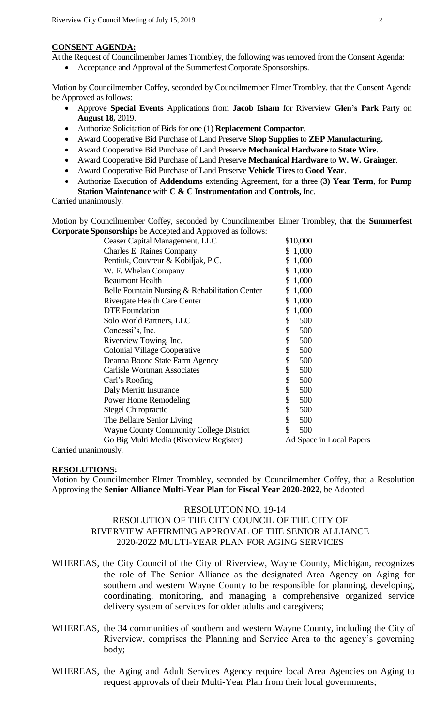#### **CONSENT AGENDA:**

- At the Request of Councilmember James Trombley, the following was removed from the Consent Agenda:
	- Acceptance and Approval of the Summerfest Corporate Sponsorships.

Motion by Councilmember Coffey, seconded by Councilmember Elmer Trombley, that the Consent Agenda be Approved as follows:

- Approve **Special Events** Applications from **Jacob Isham** for Riverview **Glen's Park** Party on **August 18,** 2019.
- Authorize Solicitation of Bids for one (1) **Replacement Compactor**.
- Award Cooperative Bid Purchase of Land Preserve **Shop Supplies** to **ZEP Manufacturing.**
- Award Cooperative Bid Purchase of Land Preserve **Mechanical Hardware** to **State Wire**.
- Award Cooperative Bid Purchase of Land Preserve **Mechanical Hardware** to **W. W. Grainger**.
- Award Cooperative Bid Purchase of Land Preserve **Vehicle Tires** to **Good Year**.
- Authorize Execution of **Addendums** extending Agreement, for a three (**3) Year Term**, for **Pump Station Maintenance** with **C & C Instrumentation** and **Controls,** Inc.

Carried unanimously.

Motion by Councilmember Coffey, seconded by Councilmember Elmer Trombley, that the **Summerfest Corporate Sponsorships** be Accepted and Approved as follows:

| \$10,000                 |
|--------------------------|
| \$1,000                  |
| \$1,000                  |
| \$1,000                  |
| \$1,000                  |
| 1,000<br>S               |
| \$1,000                  |
| 1,000<br>\$              |
| 500<br>\$                |
| \$<br>500                |
| \$<br>500                |
| \$<br>500                |
| \$<br>500                |
| \$<br>500                |
| \$<br>500                |
| \$<br>500                |
| \$<br>500                |
| \$<br>500                |
| \$<br>500                |
| 500<br>\$                |
| Ad Space in Local Papers |
|                          |

Carried unanimously.

#### **RESOLUTIONS:**

Motion by Councilmember Elmer Trombley, seconded by Councilmember Coffey, that a Resolution Approving the **Senior Alliance Multi-Year Plan** for **Fiscal Year 2020-2022**, be Adopted.

### RESOLUTION NO. 19-14

# RESOLUTION OF THE CITY COUNCIL OF THE CITY OF RIVERVIEW AFFIRMING APPROVAL OF THE SENIOR ALLIANCE 2020-2022 MULTI-YEAR PLAN FOR AGING SERVICES

- WHEREAS, the City Council of the City of Riverview, Wayne County, Michigan, recognizes the role of The Senior Alliance as the designated Area Agency on Aging for southern and western Wayne County to be responsible for planning, developing, coordinating, monitoring, and managing a comprehensive organized service delivery system of services for older adults and caregivers;
- WHEREAS, the 34 communities of southern and western Wayne County, including the City of Riverview, comprises the Planning and Service Area to the agency's governing body;
- WHEREAS, the Aging and Adult Services Agency require local Area Agencies on Aging to request approvals of their Multi-Year Plan from their local governments;